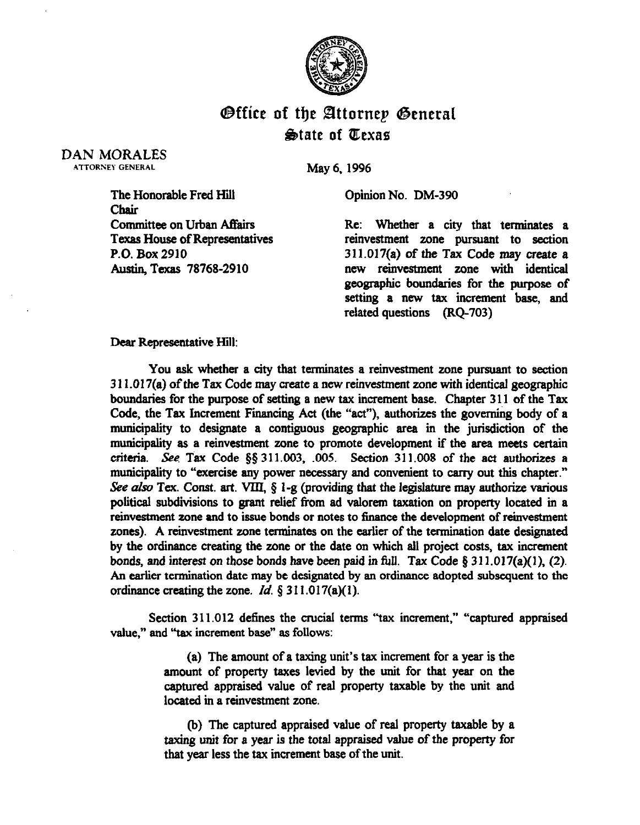

## **Office of the Attorney General State of Texas**

DAN MORALES ATTORNEY GENERAL

May 6, 1996

Opinion No. DM-390

The Honorable Fred Hill Chait Committee on Urban Affairs Texas House of Representatives P.O. Box 2910 Austin, Texas 78768-2910

Re: Whether a city that terminates a reinvestment zone pursuant to section 311.017(a) of the Tax Code may create a new reinvestment zone with identical geographic boundaries for the purpose of setting a new tax increment base, and related questions (RQ-703)

## Dear Representative Hill:

You ask whether a city that terminates a reinvestment zone pursuant to section 3 11 .017(a) of the Tax Code may create a new reinvestment zone with identical geographic boundaries for the purpose of setting a new tax increment base. Chapter 3 11 of the Tax Code, the Tax Increment Financing Act (the "act"), authorizes the governing body of a municipality to designate a contiguous geographic area in the jurisdiction of the municipality as a reinvestment zone to promote development if the area meets certain criteria. See Tax Code  $\S$ § 311.003, 005. Section 311.008 of the act authorizes a municipality to "exercise any power necessary and convenient to carry out this chapter." See also Tex. Const. art. VIII,  $\S$  1-g (providing that the legislature may authorize various political subdivisions to grant relief from ad valorem taxation on property located in a reinvestment zone and to issue bonds or notes to finance the development of reinvestment zones). A reinvestment zone terminates on the earlier of the termination date designated **by** the ordinance creating the zone or the date on which all project costs, tax increment bonds, and interest on those bonds have been paid in full. Tax Code § 311.017(a)(1), (2). An earlier termination date may be designated by an ordinance adopted subsequent to the ordinance creating the zone. *Id. § 3 11 .O 17(a)(* 1).

Section 311.012 **defines** the crucial terms "tax increment," "captured appraised **value," and "tax increment base" as** follows:

> (a) The amount of a taxing unit's tax increment for a year is the amount of property taxes levied by the unit for that year on the captured appraised value of real property taxable by the unit and located in a reinvestment zone.

> (b) The captured appraised **value** of reai property taxable by a taxing unit for a year is the total appraised value of the property for that year less the tax increment base of the unit.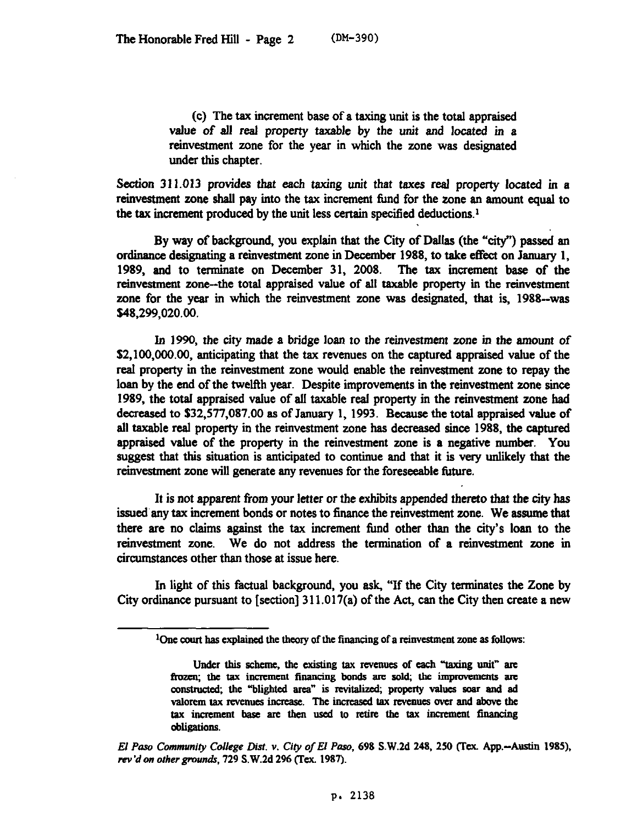(c) The tax increment base of a taxing unit is the total appraised value of all real property taxable by the unit and located in a reinvestment zone for the year in which the zone was designated under this chapter.

Section 311.013 provides that each taxing unit that taxes real property located in a reinvestment zone shall pay into the tax increment fund for the zone an amount equal to the tax increment produced by the unit less certain specified deductions.1

By way of background, you explain that the City of Dallas (the "city") passed an ordinance designating a reinvestment zone in December 1988, to take effect on January 1, 1989, and to terminate on December 31, 2008. The tax increment base of the reinvestment zone-the total appraised value of all taxable property in the reinvesrment zone for the year in which the reinvestment zone was designated, that is, 1988--was \$48,299,020.00.

In 1990, the city made a bridge loan to the reinvestment zone in the amount of S2,100,000.00, anticipating that the tax revenues on the captured appraised value of the real property in the reinvestment zone would enable the reinvestment zone to repay the loan by the end of the twelfth year. Despite improvements in the reinvestment zone since 1989, the total appraised value of all taxable real property in the reinvestment zone had decreased to \$32,577,087.00 as of January 1, 1993. Because the total appraised value of all taxable real property in the reinvestment zone has decreased since. 1988, the captured appraised value of the property in the reinvestment zone is a negative number. You suggest that this situation is anticipated to continue and that it is very unlikely that the reinvestment zone will generate any revenues for the foreseeable future.

It is not apparent from your letter or the exhibits appended thereto that the city has issued any tax increment bonds or notes to finance the reinvestment zone. We assume that there are no claims against the tax increment find other than the city's loan to the reinvestment zone. We do not address the termination of a reinvestment zone in circumstances other than those at issue here.

In light of this factual background, you ask, "If the City terminates the Zone by City ordinance pursuant to [section]  $311.017(a)$  of the Act, can the City then create a new

 $\Omega$  one court has explained the theory of the financing of a reinvestment zone as follows:

Under this scheme, the existing tax revenues of each "taxing unit" are frozen; the tax increment financing bonds are sold; the improvements are constructed; the "blighted area" is revitalized; property values soar and ad valorem tax revenues increase. The increased tax revenues over and above the tax increment base are then used to retire the tax increment financing **obligations.** 

*El Paw Communiry College Dist. Y. City of El Paso, 698* S.W.2d *248, 250* flex. App.-Austin 1985). rev'd on other grounds, 729 S.W.2d 296 (Tex. 1987).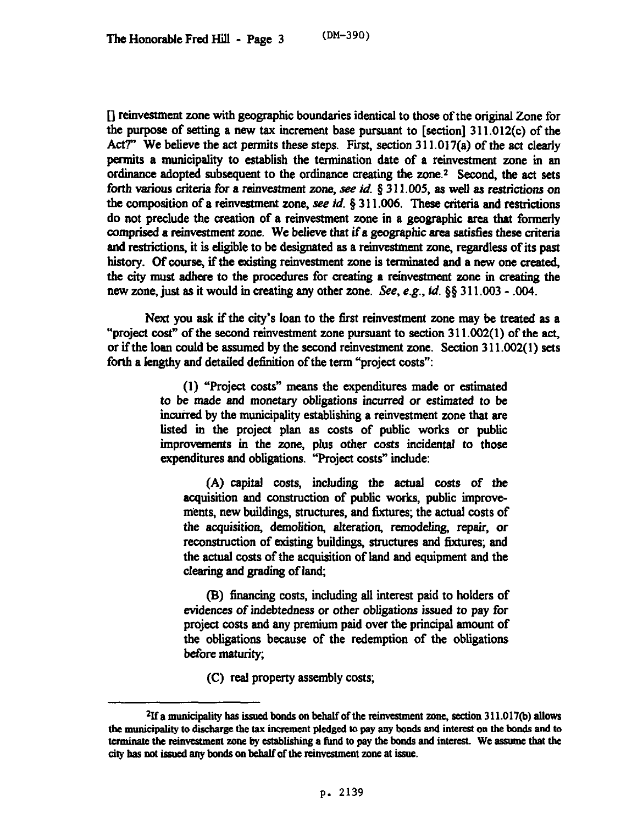[] reinvestment zone with geographic boundaries identical to those of the original Zone for the purpose of setting a new tax increment base pursuant to [section]  $311.012(c)$  of the Act?" We believe the act permits these steps. First, section  $311.017(a)$  of the act clearly permits a municipality to establish the termination date of a reinvestment zone in an ordinance adopted subsequent to the ordinance creating the zone.<sup>2</sup> Second, the act sets forth various criteria for a reinvestment zone, see id. § 311.005, as well as restrictions on the composition of a reinvestment zone, see *id. 8 3* 11.006. These criteria and restrictions do not preclude the creation of a reinvestment zone in a geographic area that formerly comprised a reinvestment zone. We believe that if a geographic area satisfies these criteria and restrictions, it is eligible to be designated as a reinvestment zone, regardless of its past history. Of course, if the existing reinvestment zone is terminated and a new one created, the city must adhere to the procedures for creating a reinvestment zone in creating the new zone, just as it would in creating any other zone. See, e.g., *id. \$8 3* 11.003 - .004.

Next you ask if the city's loan to the first reinvestment zone may be treated as a "project cost" of the second reinvestment zone pursuant to section 3 11.002(l) of the act, or if the loan could be assumed by the second reinvestment zone. Section 3 11.002( 1) sets forth a lengthy and detailed definition of the term "project costs":

> (1) "Project costs" means the expenditures made or estimated *to be made and* monetary obligations incurred *or* estimated to be incurred by the municipality establishing a reinvestment zone that are listed in the project plan as costs of public works or public improvements in the zone, plus other costs incidental to those expenditures and obligations. "Project costs" include:

(A) capital costs, including the actual costs of the acquisition and construction of public works, public improvements, new buildings, structures, and fixtures; the actual costs of the acquisition, demolition, alteration, remodeling, repair, or reconstruction of existing buildings, structures and fixtures; and the actual costs of the acquisition of land and equipment and the clearing and grading of land;

(B) financing costs, including all interest paid to holders of evidences of indebtedness *or* other obligations issued *to* pay for project costs and any premium paid over the principal amount of the obligations because of the redemption of the obligations before maturity;

(C) real property assembly costs;

 $21f$  a municipality has issued bonds on behalf of the reinvestment zone, section 311.017(b) allows the municipality to discharge the tax increment pledged to pay any bonds and interest on the bonds and to terminate the reinvestment zone by establishing a fund to pay the bonds and interest. We assume that the city has not issued any bonds on behalf of the reinvestment zone at issue.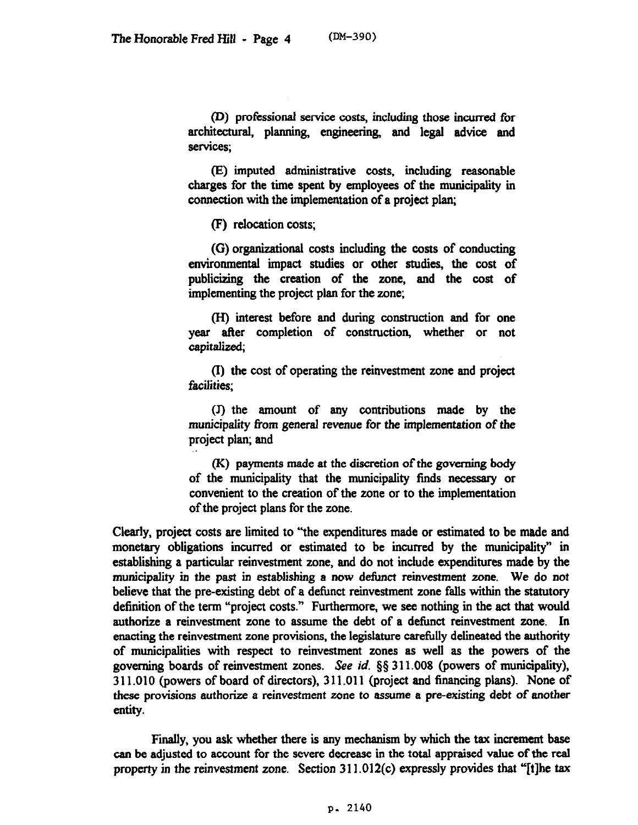(D) professional service costs, including those incurred for architectural, planning, engineering, and legal advice and services:

(E) imputed administrative costs, including reasonable charges for the time spent by employees of the municipality in connection with the implementation of a project plan;

(F) relocation costs;

(G) organizational costs including the costs of conducting enviromnental impact studies or other studies, the cost of publicizing the creation of the zone, and the cost of implementing the project plan for the zone;

@I) interest before and during construction and for one year after completion of construction, whether or not capitalized;

(I) the cost of operating the reinvestment zone and project facilities;

(J) the amount of any contributions made by the municipality from general revenue for the implementation of the project plan; and

(K) payments made at the discretion of the governing body of the municipality that the municipality fmds necessary or convenient to the creation of the zone or to the implementation of the project plans for the zone.

Clearly, project costs are limited to "'the expenditures made or estimated to be made and monetary obligations incurred or estimated to be incurred by the municipality" in establishing a particular reinvestment zone, and do not include expenditures made by the municipality in the past in establishing a now deiimct reinvestment zone. We do not believe that the pre-existing debt of a defbnct reinvestment zone falls within the statutory definition of the term "project costs." Furthermore, we see nothing in the act that would authorize a reinvestment zone to assume the debt of a detimct reinvestment zone. In enacting the reinvestment zone provisions, the legislature carefully delineated the authority of municipalities with respect to reinvestment zones as well as the powers of the governing boards of reinvestment zones. See *id.* 55 3 11.008 (powers of municipality), 3 11 .OlO (powers of board of directors), 3 11 ,011 (project and financing plans). None of these provisions authorize a reinvestment zone to assume a pre-existing debt of another entity.

Finally, you ask whether there is any mechanism by which the tax increment base can be adjusted to account for the severe decrease in the total appraised value of the real property in the reinvestment zone. Section 311.012(c) expressly provides that "[t]he tax